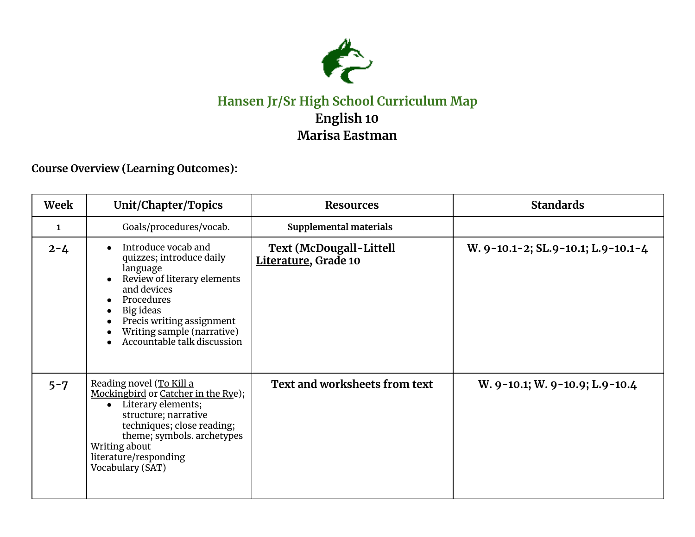

## **Hansen Jr/Sr High School Curriculum Map English 10 Marisa Eastman**

**Course Overview (Learning Outcomes):**

| Week         | Unit/Chapter/Topics                                                                                                                                                                                                                                                                | <b>Resources</b>                                       | <b>Standards</b>                   |
|--------------|------------------------------------------------------------------------------------------------------------------------------------------------------------------------------------------------------------------------------------------------------------------------------------|--------------------------------------------------------|------------------------------------|
| $\mathbf{1}$ | Goals/procedures/vocab.                                                                                                                                                                                                                                                            | Supplemental materials                                 |                                    |
| $2 - 4$      | Introduce vocab and<br>$\bullet$<br>quizzes; introduce daily<br>language<br>Review of literary elements<br>and devices<br>Procedures<br>$\bullet$<br>Big ideas<br>$\bullet$<br>Precis writing assignment<br>Writing sample (narrative)<br>Accountable talk discussion<br>$\bullet$ | <b>Text (McDougall-Littell</b><br>Literature, Grade 10 | W. 9-10.1-2; SL.9-10.1; L.9-10.1-4 |
| $5 - 7$      | Reading novel (To Kill a<br>Mockingbird or Catcher in the Rye);<br>Literary elements;<br>$\bullet$<br>structure; narrative<br>techniques; close reading;<br>theme; symbols. archetypes<br>Writing about<br>literature/responding<br>Vocabulary (SAT)                               | Text and worksheets from text                          | W. 9-10.1; W. 9-10.9; L.9-10.4     |